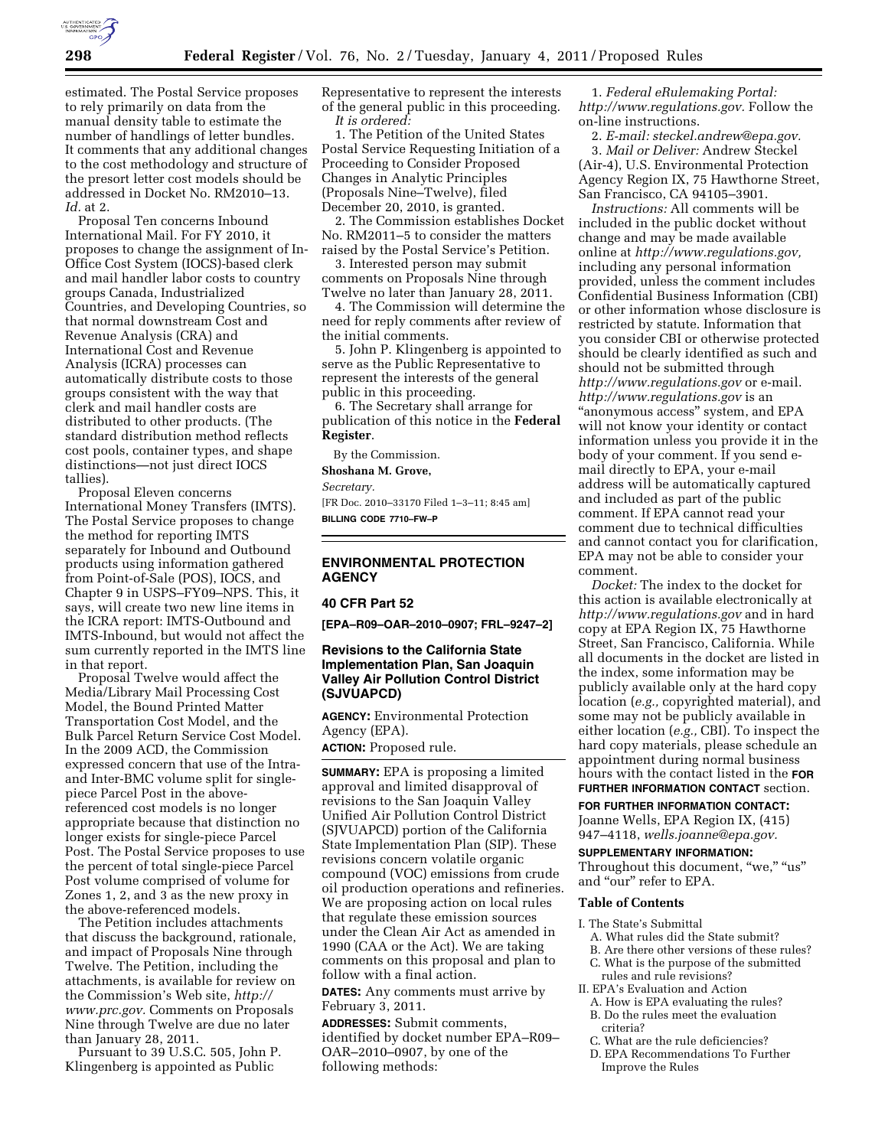

estimated. The Postal Service proposes to rely primarily on data from the manual density table to estimate the number of handlings of letter bundles. It comments that any additional changes to the cost methodology and structure of the presort letter cost models should be addressed in Docket No. RM2010–13. *Id.* at 2.

Proposal Ten concerns Inbound International Mail. For FY 2010, it proposes to change the assignment of In-Office Cost System (IOCS)-based clerk and mail handler labor costs to country groups Canada, Industrialized Countries, and Developing Countries, so that normal downstream Cost and Revenue Analysis (CRA) and International Cost and Revenue Analysis (ICRA) processes can automatically distribute costs to those groups consistent with the way that clerk and mail handler costs are distributed to other products. (The standard distribution method reflects cost pools, container types, and shape distinctions—not just direct IOCS tallies).

Proposal Eleven concerns International Money Transfers (IMTS). The Postal Service proposes to change the method for reporting IMTS separately for Inbound and Outbound products using information gathered from Point-of-Sale (POS), IOCS, and Chapter 9 in USPS–FY09–NPS. This, it says, will create two new line items in the ICRA report: IMTS-Outbound and IMTS-Inbound, but would not affect the sum currently reported in the IMTS line in that report.

Proposal Twelve would affect the Media/Library Mail Processing Cost Model, the Bound Printed Matter Transportation Cost Model, and the Bulk Parcel Return Service Cost Model. In the 2009 ACD, the Commission expressed concern that use of the Intraand Inter-BMC volume split for singlepiece Parcel Post in the abovereferenced cost models is no longer appropriate because that distinction no longer exists for single-piece Parcel Post. The Postal Service proposes to use the percent of total single-piece Parcel Post volume comprised of volume for Zones 1, 2, and 3 as the new proxy in the above-referenced models.

The Petition includes attachments that discuss the background, rationale, and impact of Proposals Nine through Twelve. The Petition, including the attachments, is available for review on the Commission's Web site, *[http://](http://www.prc.gov)  [www.prc.gov.](http://www.prc.gov)* Comments on Proposals Nine through Twelve are due no later than January 28, 2011.

Pursuant to 39 U.S.C. 505, John P. Klingenberg is appointed as Public

Representative to represent the interests of the general public in this proceeding. *It is ordered:* 

1. The Petition of the United States Postal Service Requesting Initiation of a Proceeding to Consider Proposed Changes in Analytic Principles (Proposals Nine–Twelve), filed December 20, 2010, is granted.

2. The Commission establishes Docket No. RM2011–5 to consider the matters raised by the Postal Service's Petition.

3. Interested person may submit comments on Proposals Nine through Twelve no later than January 28, 2011.

4. The Commission will determine the need for reply comments after review of the initial comments.

5. John P. Klingenberg is appointed to serve as the Public Representative to represent the interests of the general public in this proceeding.

6. The Secretary shall arrange for publication of this notice in the **Federal Register**.

By the Commission.

**Shoshana M. Grove,** 

*Secretary.* 

[FR Doc. 2010–33170 Filed 1–3–11; 8:45 am] **BILLING CODE 7710–FW–P** 

## **ENVIRONMENTAL PROTECTION AGENCY**

#### **40 CFR Part 52**

**[EPA–R09–OAR–2010–0907; FRL–9247–2]** 

## **Revisions to the California State Implementation Plan, San Joaquin Valley Air Pollution Control District (SJVUAPCD)**

**AGENCY:** Environmental Protection Agency (EPA).

**ACTION:** Proposed rule.

**SUMMARY:** EPA is proposing a limited approval and limited disapproval of revisions to the San Joaquin Valley Unified Air Pollution Control District (SJVUAPCD) portion of the California State Implementation Plan (SIP). These revisions concern volatile organic compound (VOC) emissions from crude oil production operations and refineries. We are proposing action on local rules that regulate these emission sources under the Clean Air Act as amended in 1990 (CAA or the Act). We are taking comments on this proposal and plan to follow with a final action.

**DATES:** Any comments must arrive by February 3, 2011.

**ADDRESSES:** Submit comments, identified by docket number EPA–R09– OAR–2010–0907, by one of the following methods:

1. *Federal eRulemaking Portal: [http://www.regulations.gov.](http://www.regulations.gov)* Follow the on-line instructions.

2. *E-mail: [steckel.andrew@epa.gov.](mailto:steckel.andrew@epa.gov)* 

3. *Mail or Deliver:* Andrew Steckel (Air-4), U.S. Environmental Protection Agency Region IX, 75 Hawthorne Street, San Francisco, CA 94105–3901.

*Instructions:* All comments will be included in the public docket without change and may be made available online at *[http://www.regulations.gov,](http://www.regulations.gov)*  including any personal information provided, unless the comment includes Confidential Business Information (CBI) or other information whose disclosure is restricted by statute. Information that you consider CBI or otherwise protected should be clearly identified as such and should not be submitted through *<http://www.regulations.gov>* or e-mail. *<http://www.regulations.gov>* is an ''anonymous access'' system, and EPA will not know your identity or contact information unless you provide it in the body of your comment. If you send email directly to EPA, your e-mail address will be automatically captured and included as part of the public comment. If EPA cannot read your comment due to technical difficulties and cannot contact you for clarification, EPA may not be able to consider your comment.

*Docket:* The index to the docket for this action is available electronically at *<http://www.regulations.gov>* and in hard copy at EPA Region IX, 75 Hawthorne Street, San Francisco, California. While all documents in the docket are listed in the index, some information may be publicly available only at the hard copy location (*e.g.,* copyrighted material), and some may not be publicly available in either location (*e.g.,* CBI). To inspect the hard copy materials, please schedule an appointment during normal business hours with the contact listed in the **FOR FURTHER INFORMATION CONTACT** section.

#### **FOR FURTHER INFORMATION CONTACT:**

Joanne Wells, EPA Region IX, (415) 947–4118, *[wells.joanne@epa.gov.](mailto:wells.joanne@epa.gov)* 

#### **SUPPLEMENTARY INFORMATION:**

Throughout this document, "we," "us" and "our" refer to EPA.

## **Table of Contents**

- I. The State's Submittal
	- A. What rules did the State submit?
	-
	- B. Are there other versions of these rules?<br>C. What is the purpose of the submitted What is the purpose of the submitted rules and rule revisions?
- II. EPA's Evaluation and Action
	- A. How is EPA evaluating the rules?
	- B. Do the rules meet the evaluation
	- criteria?
	- C. What are the rule deficiencies?
	- D. EPA Recommendations To Further Improve the Rules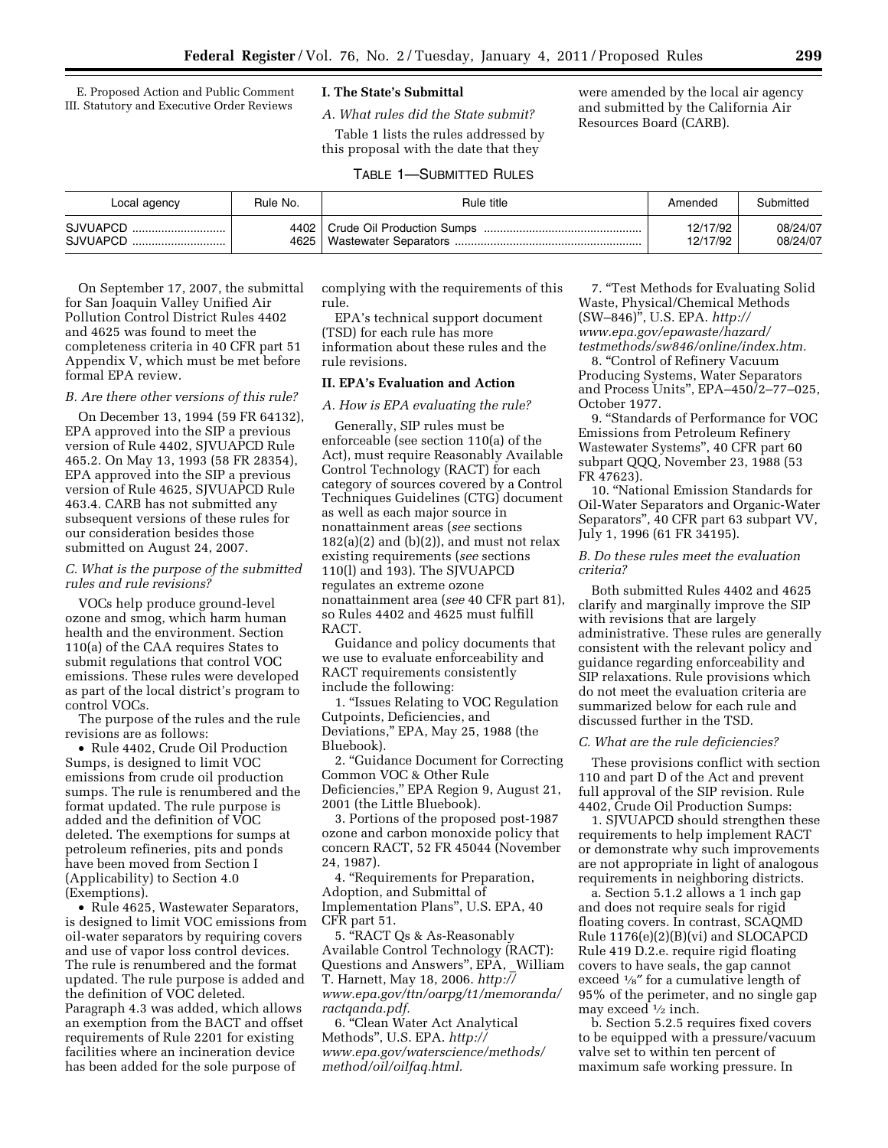E. Proposed Action and Public Comment III. Statutory and Executive Order Reviews

# **I. The State's Submittal**

*A. What rules did the State submit?*  Table 1 lists the rules addressed by this proposal with the date that they

were amended by the local air agency and submitted by the California Air Resources Board (CARB).

|  | <b>TABLE 1-SUBMITTED RULES</b> |  |
|--|--------------------------------|--|
|--|--------------------------------|--|

| Local agency         | Rule No. | Rule title | Amended              | Submitted            |
|----------------------|----------|------------|----------------------|----------------------|
| SJVUAPCD<br>SJVUAPCD | 4625∣    |            | 12/17/92<br>12/17/92 | 08/24/07<br>08/24/07 |

On September 17, 2007, the submittal for San Joaquin Valley Unified Air Pollution Control District Rules 4402 and 4625 was found to meet the completeness criteria in 40 CFR part 51 Appendix V, which must be met before formal EPA review.

## *B. Are there other versions of this rule?*

On December 13, 1994 (59 FR 64132), EPA approved into the SIP a previous version of Rule 4402, SJVUAPCD Rule 465.2. On May 13, 1993 (58 FR 28354), EPA approved into the SIP a previous version of Rule 4625, SJVUAPCD Rule 463.4. CARB has not submitted any subsequent versions of these rules for our consideration besides those submitted on August 24, 2007.

### *C. What is the purpose of the submitted rules and rule revisions?*

VOCs help produce ground-level ozone and smog, which harm human health and the environment. Section 110(a) of the CAA requires States to submit regulations that control VOC emissions. These rules were developed as part of the local district's program to control VOCs.

The purpose of the rules and the rule revisions are as follows:

• Rule 4402, Crude Oil Production Sumps, is designed to limit VOC emissions from crude oil production sumps. The rule is renumbered and the format updated. The rule purpose is added and the definition of VOC deleted. The exemptions for sumps at petroleum refineries, pits and ponds have been moved from Section I (Applicability) to Section 4.0 (Exemptions).

• Rule 4625, Wastewater Separators, is designed to limit VOC emissions from oil-water separators by requiring covers and use of vapor loss control devices. The rule is renumbered and the format updated. The rule purpose is added and the definition of VOC deleted. Paragraph 4.3 was added, which allows an exemption from the BACT and offset requirements of Rule 2201 for existing facilities where an incineration device has been added for the sole purpose of

complying with the requirements of this rule.

EPA's technical support document (TSD) for each rule has more information about these rules and the rule revisions.

# **II. EPA's Evaluation and Action**

### *A. How is EPA evaluating the rule?*

Generally, SIP rules must be enforceable (see section 110(a) of the Act), must require Reasonably Available Control Technology (RACT) for each category of sources covered by a Control Techniques Guidelines (CTG) document as well as each major source in nonattainment areas (*see* sections  $182(a)(2)$  and  $(b)(2)$ ), and must not relax existing requirements (*see* sections 110(l) and 193). The SJVUAPCD regulates an extreme ozone nonattainment area (*see* 40 CFR part 81), so Rules 4402 and 4625 must fulfill RACT.

Guidance and policy documents that we use to evaluate enforceability and RACT requirements consistently include the following:

1. ''Issues Relating to VOC Regulation Cutpoints, Deficiencies, and Deviations,'' EPA, May 25, 1988 (the Bluebook).

2. ''Guidance Document for Correcting Common VOC & Other Rule Deficiencies,'' EPA Region 9, August 21, 2001 (the Little Bluebook).

3. Portions of the proposed post-1987 ozone and carbon monoxide policy that concern RACT, 52 FR 45044 (November 24, 1987).

4. ''Requirements for Preparation, Adoption, and Submittal of Implementation Plans'', U.S. EPA, 40 CFR part 51.

5. ''RACT Qs & As-Reasonably Available Control Technology (RACT): Questions and Answers'', EPA, \_William T. Harnett, May 18, 2006. *[http://](http://www.epa.gov/ttn/oarpg/t1/memoranda/ractqanda.pdf)  [www.epa.gov/ttn/oarpg/t1/memoranda/](http://www.epa.gov/ttn/oarpg/t1/memoranda/ractqanda.pdf) [ractqanda.pdf.](http://www.epa.gov/ttn/oarpg/t1/memoranda/ractqanda.pdf)* 

6. ''Clean Water Act Analytical Methods'', U.S. EPA. *[http://](http://www.epa.gov/waterscience/methods/method/oil/oilfaq.html) [www.epa.gov/waterscience/methods/](http://www.epa.gov/waterscience/methods/method/oil/oilfaq.html)  [method/oil/oilfaq.html.](http://www.epa.gov/waterscience/methods/method/oil/oilfaq.html)* 

7. ''Test Methods for Evaluating Solid Waste, Physical/Chemical Methods (SW–846)'', U.S. EPA. *[http://](http://www.epa.gov/epawaste/hazard/testmethods/sw846/online/index.htm)  [www.epa.gov/epawaste/hazard/](http://www.epa.gov/epawaste/hazard/testmethods/sw846/online/index.htm)  [testmethods/sw846/online/index.htm.](http://www.epa.gov/epawaste/hazard/testmethods/sw846/online/index.htm)* 

8. ''Control of Refinery Vacuum Producing Systems, Water Separators and Process Units'', EPA–450/2–77–025, October 1977.

9. ''Standards of Performance for VOC Emissions from Petroleum Refinery Wastewater Systems'', 40 CFR part 60 subpart QQQ, November 23, 1988 (53 FR 47623).

10. ''National Emission Standards for Oil-Water Separators and Organic-Water Separators'', 40 CFR part 63 subpart VV, July 1, 1996 (61 FR 34195).

# *B. Do these rules meet the evaluation criteria?*

Both submitted Rules 4402 and 4625 clarify and marginally improve the SIP with revisions that are largely administrative. These rules are generally consistent with the relevant policy and guidance regarding enforceability and SIP relaxations. Rule provisions which do not meet the evaluation criteria are summarized below for each rule and discussed further in the TSD.

### *C. What are the rule deficiencies?*

These provisions conflict with section 110 and part D of the Act and prevent full approval of the SIP revision. Rule 4402, Crude Oil Production Sumps:

1. SJVUAPCD should strengthen these requirements to help implement RACT or demonstrate why such improvements are not appropriate in light of analogous requirements in neighboring districts.

a. Section 5.1.2 allows a 1 inch gap and does not require seals for rigid floating covers. In contrast, SCAQMD Rule 1176(e)(2)(B)(vi) and SLOCAPCD Rule 419 D.2.e. require rigid floating covers to have seals, the gap cannot exceed 1⁄8″ for a cumulative length of 95% of the perimeter, and no single gap may exceed  $\frac{1}{2}$  inch.

b. Section 5.2.5 requires fixed covers to be equipped with a pressure/vacuum valve set to within ten percent of maximum safe working pressure. In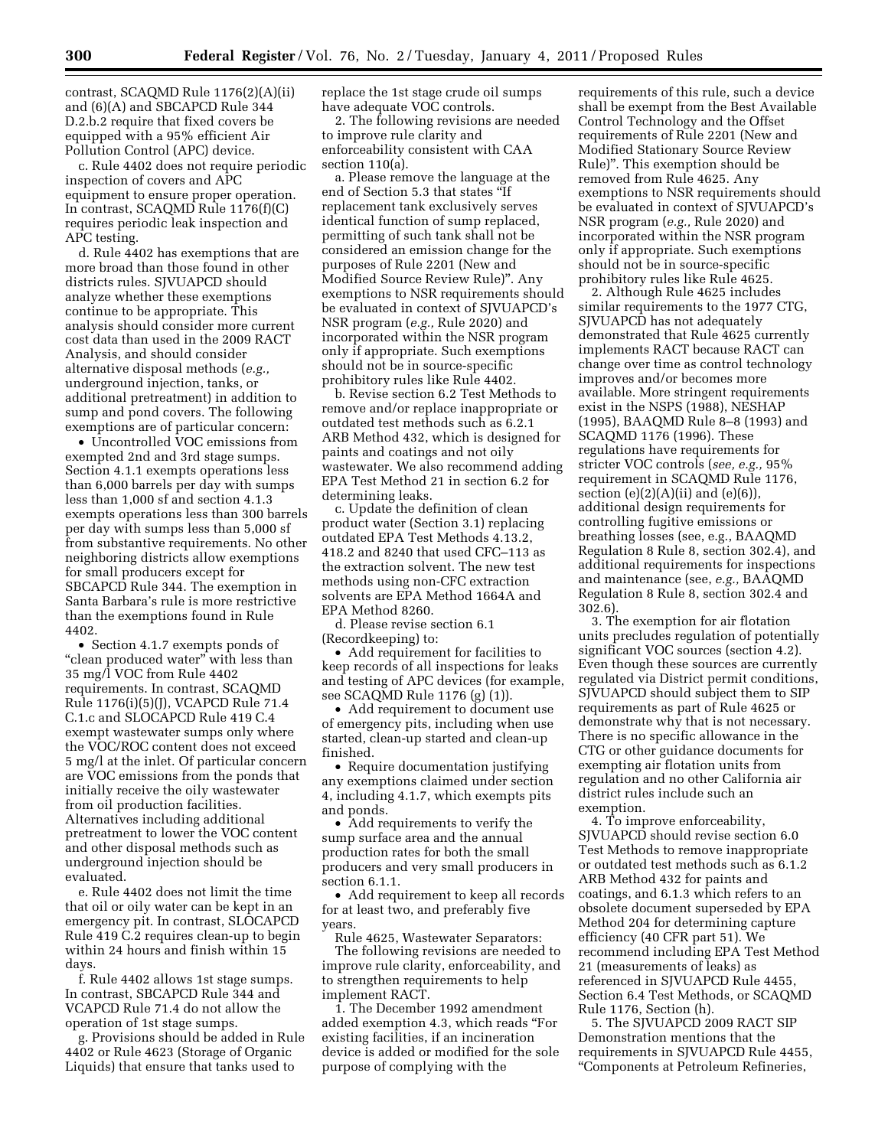contrast, SCAQMD Rule 1176(2)(A)(ii) and (6)(A) and SBCAPCD Rule 344 D.2.b.2 require that fixed covers be equipped with a 95% efficient Air Pollution Control (APC) device.

c. Rule 4402 does not require periodic inspection of covers and APC equipment to ensure proper operation. In contrast, SCAQMD Rule 1176(f)(C) requires periodic leak inspection and APC testing.

d. Rule 4402 has exemptions that are more broad than those found in other districts rules. SJVUAPCD should analyze whether these exemptions continue to be appropriate. This analysis should consider more current cost data than used in the 2009 RACT Analysis, and should consider alternative disposal methods (*e.g.,*  underground injection, tanks, or additional pretreatment) in addition to sump and pond covers. The following exemptions are of particular concern:

• Uncontrolled VOC emissions from exempted 2nd and 3rd stage sumps. Section 4.1.1 exempts operations less than 6,000 barrels per day with sumps less than 1,000 sf and section 4.1.3 exempts operations less than 300 barrels per day with sumps less than 5,000 sf from substantive requirements. No other neighboring districts allow exemptions for small producers except for SBCAPCD Rule 344. The exemption in Santa Barbara's rule is more restrictive than the exemptions found in Rule 4402.

• Section 4.1.7 exempts ponds of "clean produced water" with less than 35 mg/l VOC from Rule 4402 requirements. In contrast, SCAQMD Rule 1176(i)(5)(J), VCAPCD Rule 71.4 C.1.c and SLOCAPCD Rule 419 C.4 exempt wastewater sumps only where the VOC/ROC content does not exceed 5 mg/l at the inlet. Of particular concern are VOC emissions from the ponds that initially receive the oily wastewater from oil production facilities. Alternatives including additional pretreatment to lower the VOC content and other disposal methods such as underground injection should be evaluated.

e. Rule 4402 does not limit the time that oil or oily water can be kept in an emergency pit. In contrast, SLOCAPCD Rule 419 C.2 requires clean-up to begin within 24 hours and finish within 15 days.

f. Rule 4402 allows 1st stage sumps. In contrast, SBCAPCD Rule 344 and VCAPCD Rule 71.4 do not allow the operation of 1st stage sumps.

g. Provisions should be added in Rule 4402 or Rule 4623 (Storage of Organic Liquids) that ensure that tanks used to

replace the 1st stage crude oil sumps have adequate VOC controls.

2. The following revisions are needed to improve rule clarity and enforceability consistent with CAA section 110(a).

a. Please remove the language at the end of Section 5.3 that states ''If replacement tank exclusively serves identical function of sump replaced, permitting of such tank shall not be considered an emission change for the purposes of Rule 2201 (New and Modified Source Review Rule)''. Any exemptions to NSR requirements should be evaluated in context of SJVUAPCD's NSR program (*e.g.,* Rule 2020) and incorporated within the NSR program only if appropriate. Such exemptions should not be in source-specific prohibitory rules like Rule 4402.

b. Revise section 6.2 Test Methods to remove and/or replace inappropriate or outdated test methods such as 6.2.1 ARB Method 432, which is designed for paints and coatings and not oily wastewater. We also recommend adding EPA Test Method 21 in section 6.2 for determining leaks.

c. Update the definition of clean product water (Section 3.1) replacing outdated EPA Test Methods 4.13.2, 418.2 and 8240 that used CFC–113 as the extraction solvent. The new test methods using non-CFC extraction solvents are EPA Method 1664A and EPA Method 8260.

d. Please revise section 6.1 (Recordkeeping) to:

• Add requirement for facilities to keep records of all inspections for leaks and testing of APC devices (for example, see SCAQMD Rule 1176 (g) (1)).

• Add requirement to document use of emergency pits, including when use started, clean-up started and clean-up finished.

• Require documentation justifying any exemptions claimed under section 4, including 4.1.7, which exempts pits and ponds.

• Add requirements to verify the sump surface area and the annual production rates for both the small producers and very small producers in section 6.1.1.

• Add requirement to keep all records for at least two, and preferably five years.

Rule 4625, Wastewater Separators: The following revisions are needed to improve rule clarity, enforceability, and to strengthen requirements to help implement RACT.

1. The December 1992 amendment added exemption 4.3, which reads ''For existing facilities, if an incineration device is added or modified for the sole purpose of complying with the

requirements of this rule, such a device shall be exempt from the Best Available Control Technology and the Offset requirements of Rule 2201 (New and Modified Stationary Source Review Rule)''. This exemption should be removed from Rule 4625. Any exemptions to NSR requirements should be evaluated in context of SJVUAPCD's NSR program (*e.g.,* Rule 2020) and incorporated within the NSR program only if appropriate. Such exemptions should not be in source-specific prohibitory rules like Rule 4625.

2. Although Rule 4625 includes similar requirements to the 1977 CTG, SJVUAPCD has not adequately demonstrated that Rule 4625 currently implements RACT because RACT can change over time as control technology improves and/or becomes more available. More stringent requirements exist in the NSPS (1988), NESHAP (1995), BAAQMD Rule 8–8 (1993) and SCAQMD 1176 (1996). These regulations have requirements for stricter VOC controls (*see, e.g.,* 95% requirement in SCAQMD Rule 1176, section  $(e)(2)(A)(ii)$  and  $(e)(6)$ , additional design requirements for controlling fugitive emissions or breathing losses (see, e.g., BAAQMD Regulation 8 Rule 8, section 302.4), and additional requirements for inspections and maintenance (see, *e.g.,* BAAQMD Regulation 8 Rule 8, section 302.4 and 302.6).

3. The exemption for air flotation units precludes regulation of potentially significant VOC sources (section 4.2). Even though these sources are currently regulated via District permit conditions, SJVUAPCD should subject them to SIP requirements as part of Rule 4625 or demonstrate why that is not necessary. There is no specific allowance in the CTG or other guidance documents for exempting air flotation units from regulation and no other California air district rules include such an exemption.

4. To improve enforceability, SJVUAPCD should revise section 6.0 Test Methods to remove inappropriate or outdated test methods such as 6.1.2 ARB Method 432 for paints and coatings, and 6.1.3 which refers to an obsolete document superseded by EPA Method 204 for determining capture efficiency (40 CFR part 51). We recommend including EPA Test Method 21 (measurements of leaks) as referenced in SJVUAPCD Rule 4455, Section 6.4 Test Methods, or SCAQMD Rule 1176, Section (h).

5. The SJVUAPCD 2009 RACT SIP Demonstration mentions that the requirements in SJVUAPCD Rule 4455, ''Components at Petroleum Refineries,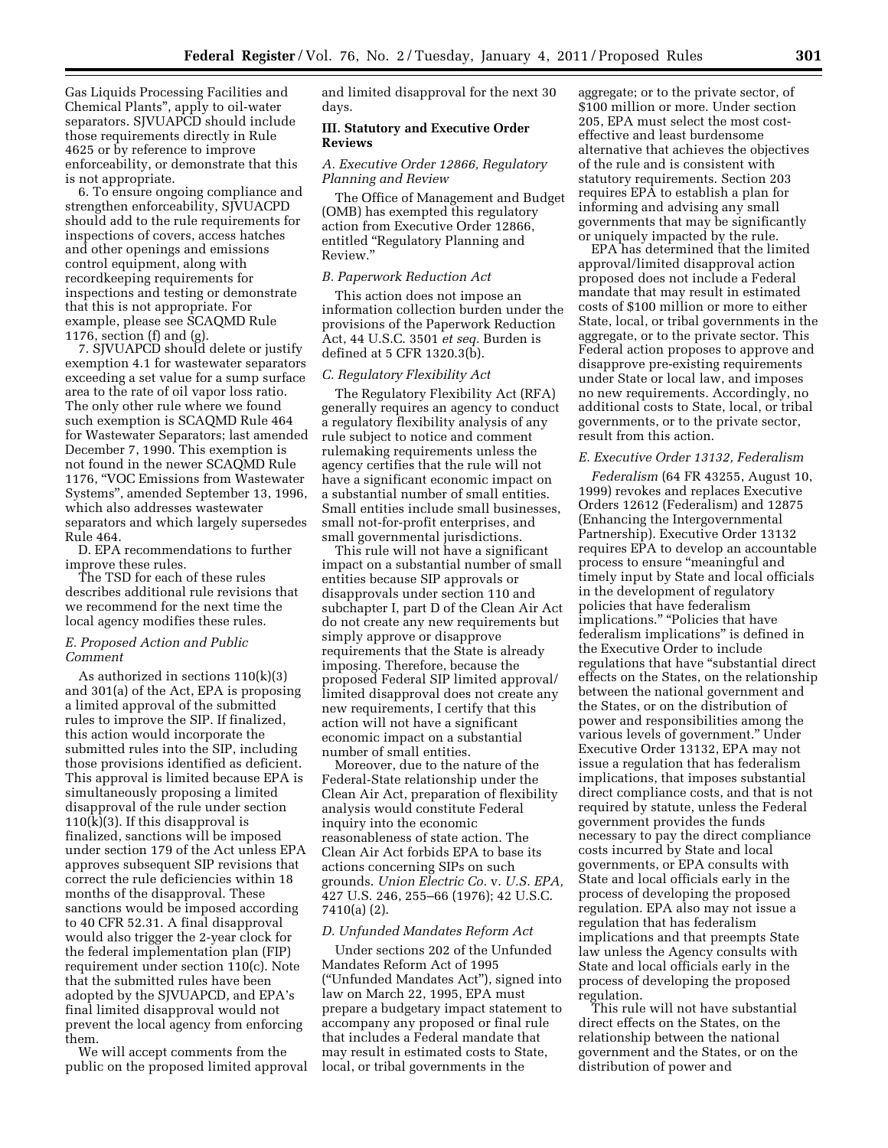Gas Liquids Processing Facilities and Chemical Plants'', apply to oil-water separators. SJVUAPCD should include those requirements directly in Rule 4625 or by reference to improve enforceability, or demonstrate that this is not appropriate.

6. To ensure ongoing compliance and strengthen enforceability, SJVUACPD should add to the rule requirements for inspections of covers, access hatches and other openings and emissions control equipment, along with recordkeeping requirements for inspections and testing or demonstrate that this is not appropriate. For example, please see SCAQMD Rule 1176, section (f) and (g).

7. SJVUAPCD should delete or justify exemption 4.1 for wastewater separators exceeding a set value for a sump surface area to the rate of oil vapor loss ratio. The only other rule where we found such exemption is SCAQMD Rule 464 for Wastewater Separators; last amended December 7, 1990. This exemption is not found in the newer SCAQMD Rule 1176, ''VOC Emissions from Wastewater Systems'', amended September 13, 1996, which also addresses wastewater separators and which largely supersedes Rule 464.

D. EPA recommendations to further improve these rules.

The TSD for each of these rules describes additional rule revisions that we recommend for the next time the local agency modifies these rules.

### *E. Proposed Action and Public Comment*

As authorized in sections 110(k)(3) and 301(a) of the Act, EPA is proposing a limited approval of the submitted rules to improve the SIP. If finalized, this action would incorporate the submitted rules into the SIP, including those provisions identified as deficient. This approval is limited because EPA is simultaneously proposing a limited disapproval of the rule under section  $110(k)(3)$ . If this disapproval is finalized, sanctions will be imposed under section 179 of the Act unless EPA approves subsequent SIP revisions that correct the rule deficiencies within 18 months of the disapproval. These sanctions would be imposed according to 40 CFR 52.31. A final disapproval would also trigger the 2-year clock for the federal implementation plan (FIP) requirement under section 110(c). Note that the submitted rules have been adopted by the SJVUAPCD, and EPA's final limited disapproval would not prevent the local agency from enforcing them.

We will accept comments from the public on the proposed limited approval and limited disapproval for the next 30 days.

## **III. Statutory and Executive Order Reviews**

### *A. Executive Order 12866, Regulatory Planning and Review*

The Office of Management and Budget (OMB) has exempted this regulatory action from Executive Order 12866, entitled ''Regulatory Planning and Review.''

## *B. Paperwork Reduction Act*

This action does not impose an information collection burden under the provisions of the Paperwork Reduction Act, 44 U.S.C. 3501 *et seq.* Burden is defined at 5 CFR 1320.3(b).

### *C. Regulatory Flexibility Act*

The Regulatory Flexibility Act (RFA) generally requires an agency to conduct a regulatory flexibility analysis of any rule subject to notice and comment rulemaking requirements unless the agency certifies that the rule will not have a significant economic impact on a substantial number of small entities. Small entities include small businesses, small not-for-profit enterprises, and small governmental jurisdictions.

This rule will not have a significant impact on a substantial number of small entities because SIP approvals or disapprovals under section 110 and subchapter I, part D of the Clean Air Act do not create any new requirements but simply approve or disapprove requirements that the State is already imposing. Therefore, because the proposed Federal SIP limited approval/ limited disapproval does not create any new requirements, I certify that this action will not have a significant economic impact on a substantial number of small entities.

Moreover, due to the nature of the Federal-State relationship under the Clean Air Act, preparation of flexibility analysis would constitute Federal inquiry into the economic reasonableness of state action. The Clean Air Act forbids EPA to base its actions concerning SIPs on such grounds. *Union Electric Co.* v. *U.S. EPA,*  427 U.S. 246, 255–66 (1976); 42 U.S.C. 7410(a) (2).

### *D. Unfunded Mandates Reform Act*

Under sections 202 of the Unfunded Mandates Reform Act of 1995 (''Unfunded Mandates Act''), signed into law on March 22, 1995, EPA must prepare a budgetary impact statement to accompany any proposed or final rule that includes a Federal mandate that may result in estimated costs to State, local, or tribal governments in the

aggregate; or to the private sector, of \$100 million or more. Under section 205, EPA must select the most costeffective and least burdensome alternative that achieves the objectives of the rule and is consistent with statutory requirements. Section 203 requires EPA to establish a plan for informing and advising any small governments that may be significantly or uniquely impacted by the rule.

EPA has determined that the limited approval/limited disapproval action proposed does not include a Federal mandate that may result in estimated costs of \$100 million or more to either State, local, or tribal governments in the aggregate, or to the private sector. This Federal action proposes to approve and disapprove pre-existing requirements under State or local law, and imposes no new requirements. Accordingly, no additional costs to State, local, or tribal governments, or to the private sector, result from this action.

#### *E. Executive Order 13132, Federalism*

*Federalism* (64 FR 43255, August 10, 1999) revokes and replaces Executive Orders 12612 (Federalism) and 12875 (Enhancing the Intergovernmental Partnership). Executive Order 13132 requires EPA to develop an accountable process to ensure ''meaningful and timely input by State and local officials in the development of regulatory policies that have federalism implications." "Policies that have federalism implications'' is defined in the Executive Order to include regulations that have "substantial direct effects on the States, on the relationship between the national government and the States, or on the distribution of power and responsibilities among the various levels of government.'' Under Executive Order 13132, EPA may not issue a regulation that has federalism implications, that imposes substantial direct compliance costs, and that is not required by statute, unless the Federal government provides the funds necessary to pay the direct compliance costs incurred by State and local governments, or EPA consults with State and local officials early in the process of developing the proposed regulation. EPA also may not issue a regulation that has federalism implications and that preempts State law unless the Agency consults with State and local officials early in the process of developing the proposed regulation.

This rule will not have substantial direct effects on the States, on the relationship between the national government and the States, or on the distribution of power and